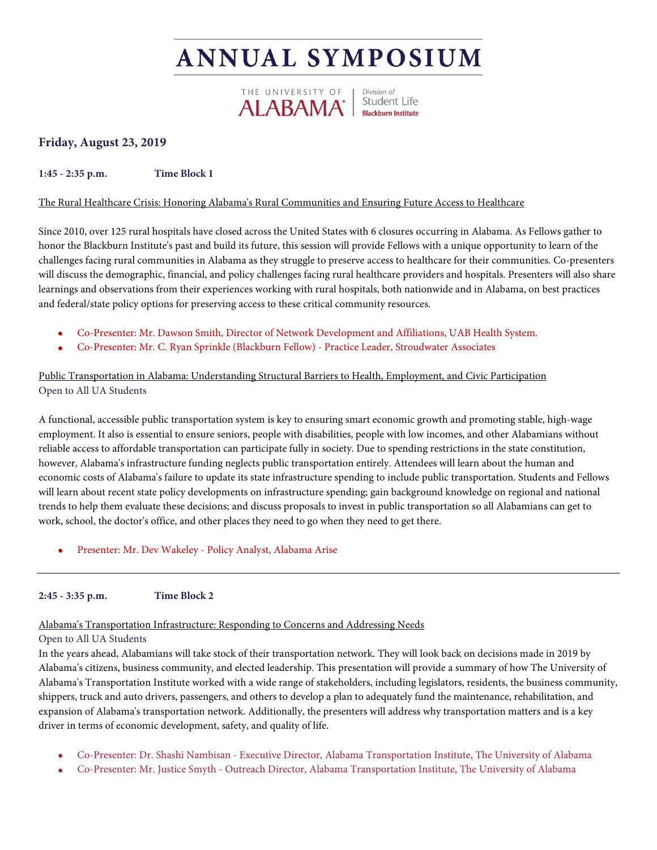# **ANNUAL SYMPOSIUM**



# **Friday, August 23, 2019**

**1:45 - 2:35 p.m. Time Block 1**

# The Rural Healthcare Crisis: Honoring Alabama's Rural Communities and Ensuring Future Access to Healthcare

Since 2010, over 125 rural hospitals have closed across the United States with 6 closures occurring in Alabama. As Fellows gather to honor the Blackburn Institute's past and build its future, this session will provide Fellows with a unique opportunity to learn of the challenges facing rural communities in Alabama as they struggle to preserve access to healthcare for their communities. Co-presenters will discuss the demographic, financial, and policy challenges facing rural healthcare providers and hospitals. Presenters will also share learnings and observations from their experiences working with rural hospitals, both nationwide and in Alabama, on best practices and federal/state policy options for preserving access to these critical community resources.

- Co-Presenter: Mr. Dawson Smith, Director of Network Development and Affiliations, UAB Health System.
- Co-Presenter: Mr. C. Ryan Sprinkle (Blackburn Fellow) Practice Leader, Stroudwater Associates

# Public Transportation in Alabama: Understanding Structural Barriers to Health, Employment, and Civic Participation Open to All UA Students

A functional, accessible public transportation system is key to ensuring smart economic growth and promoting stable, high-wage employment. It also is essential to ensure seniors, people with disabilities, people with low incomes, and other Alabamians without reliable access to affordable transportation can participate fully in society. Due to spending restrictions in the state constitution, however, Alabama's infrastructure funding neglects public transportation entirely. Attendees will learn about the human and economic costs of Alabama's failure to update its state infrastructure spending to include public transportation. Students and Fellows will learn about recent state policy developments on infrastructure spending; gain background knowledge on regional and national trends to help them evaluate these decisions; and discuss proposals to invest in public transportation so all Alabamians can get to work, school, the doctor's office, and other places they need to go when they need to get there.

• Presenter: Mr. Dev Wakeley - Policy Analyst, Alabama Arise

**2:45 - 3:35 p.m. Time Block 2**

# Alabama's Transportation Infrastructure: Responding to Concerns and Addressing Needs

# Open to All UA Students

In the years ahead, Alabamians will take stock of their transportation network. They will look back on decisions made in 2019 by Alabama's citizens, business community, and elected leadership. This presentation will provide a summary of how The University of Alabama's Transportation Institute worked with a wide range of stakeholders, including legislators, residents, the business community, shippers, truck and auto drivers, passengers, and others to develop a plan to adequately fund the maintenance, rehabilitation, and expansion of Alabama's transportation network. Additionally, the presenters will address why transportation matters and is a key driver in terms of economic development, safety, and quality of life.

- Co-Presenter: Dr. Shashi Nambisan Executive Director, Alabama Transportation Institute, The University of Alabama
- Co-Presenter: Mr. Justice Smyth Outreach Director, Alabama Transportation Institute, The University of Alabama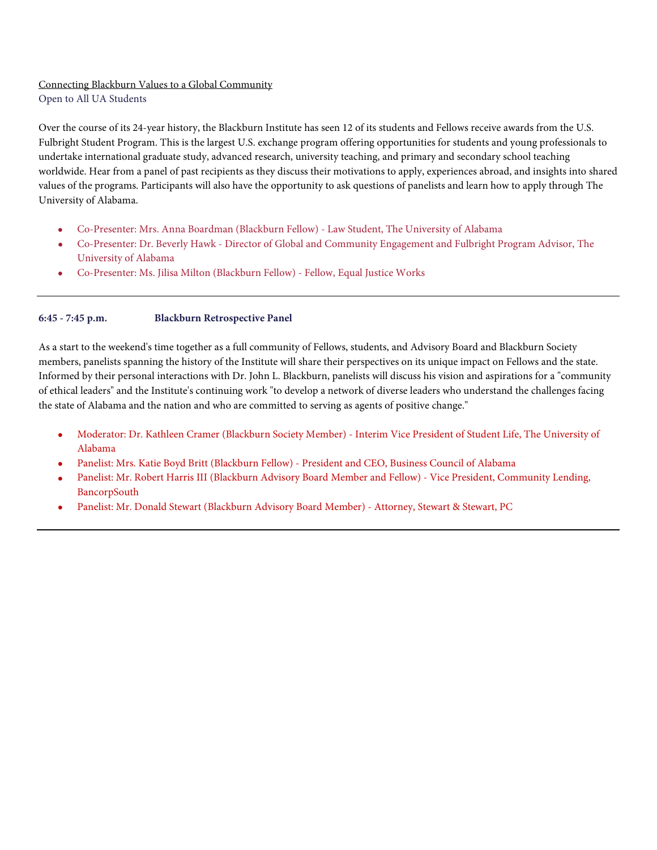# Connecting Blackburn Values to a Global Community

Open to All UA Students

Over the course of its 24-year history, the Blackburn Institute has seen 12 of its students and Fellows receive awards from the U.S. Fulbright Student Program. This is the largest U.S. exchange program offering opportunities for students and young professionals to undertake international graduate study, advanced research, university teaching, and primary and secondary school teaching worldwide. Hear from a panel of past recipients as they discuss their motivations to apply, experiences abroad, and insights into shared values of the programs. Participants will also have the opportunity to ask questions of panelists and learn how to apply through The University of Alabama.

- Co-Presenter: Mrs. Anna Boardman (Blackburn Fellow) Law Student, The University of Alabama
- Co-Presenter: Dr. Beverly Hawk Director of Global and Community Engagement and Fulbright Program Advisor, The University of Alabama
- Co-Presenter: Ms. Jilisa Milton (Blackburn Fellow) Fellow, Equal Justice Works

### **6:45 - 7:45 p.m. Blackburn Retrospective Panel**

As a start to the weekend's time together as a full community of Fellows, students, and Advisory Board and Blackburn Society members, panelists spanning the history of the Institute will share their perspectives on its unique impact on Fellows and the state. Informed by their personal interactions with Dr. John L. Blackburn, panelists will discuss his vision and aspirations for a "community of ethical leaders" and the Institute's continuing work "to develop a network of diverse leaders who understand the challenges facing the state of Alabama and the nation and who are committed to serving as agents of positive change."

- Moderator: Dr. Kathleen Cramer (Blackburn Society Member) Interim Vice President of Student Life, The University of Alabama
- Panelist: Mrs. Katie Boyd Britt (Blackburn Fellow) President and CEO, Business Council of Alabama
- Panelist: Mr. Robert Harris III (Blackburn Advisory Board Member and Fellow) Vice President, Community Lending, BancorpSouth
- Panelist: Mr. Donald Stewart (Blackburn Advisory Board Member) Attorney, Stewart & Stewart, PC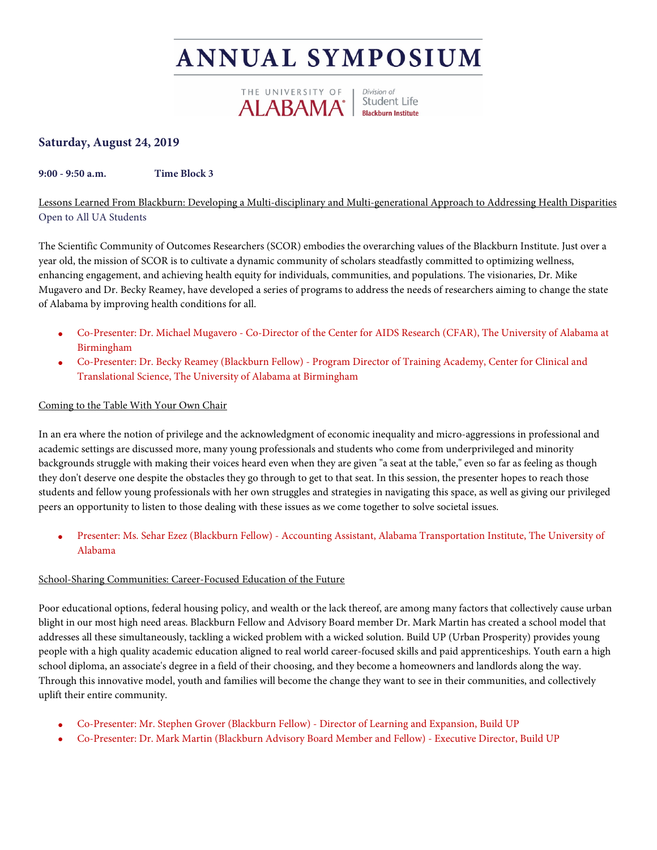# **ANNUAL SYMPOSIUM**



# **Saturday, August 24, 2019**

# **9:00 - 9:50 a.m. Time Block 3**

Lessons Learned From Blackburn: Developing a Multi-disciplinary and Multi-generational Approach to Addressing Health Disparities Open to All UA Students

The Scientific Community of Outcomes Researchers (SCOR) embodies the overarching values of the Blackburn Institute. Just over a year old, the mission of SCOR is to cultivate a dynamic community of scholars steadfastly committed to optimizing wellness, enhancing engagement, and achieving health equity for individuals, communities, and populations. The visionaries, Dr. Mike Mugavero and Dr. Becky Reamey, have developed a series of programs to address the needs of researchers aiming to change the state of Alabama by improving health conditions for all.

- Co-Presenter: Dr. Michael Mugavero Co-Director of the Center for AIDS Research (CFAR), The University of Alabama at Birmingham
- Co-Presenter: Dr. Becky Reamey (Blackburn Fellow) Program Director of Training Academy, Center for Clinical and Translational Science, The University of Alabama at Birmingham

# Coming to the Table With Your Own Chair

In an era where the notion of privilege and the acknowledgment of economic inequality and micro-aggressions in professional and academic settings are discussed more, many young professionals and students who come from underprivileged and minority backgrounds struggle with making their voices heard even when they are given "a seat at the table," even so far as feeling as though they don't deserve one despite the obstacles they go through to get to that seat. In this session, the presenter hopes to reach those students and fellow young professionals with her own struggles and strategies in navigating this space, as well as giving our privileged peers an opportunity to listen to those dealing with these issues as we come together to solve societal issues.

• Presenter: Ms. Sehar Ezez (Blackburn Fellow) - Accounting Assistant, Alabama Transportation Institute, The University of Alabama

# School-Sharing Communities: Career-Focused Education of the Future

Poor educational options, federal housing policy, and wealth or the lack thereof, are among many factors that collectively cause urban blight in our most high need areas. Blackburn Fellow and Advisory Board member Dr. Mark Martin has created a school model that addresses all these simultaneously, tackling a wicked problem with a wicked solution. Build UP (Urban Prosperity) provides young people with a high quality academic education aligned to real world career-focused skills and paid apprenticeships. Youth earn a high school diploma, an associate's degree in a field of their choosing, and they become a homeowners and landlords along the way. Through this innovative model, youth and families will become the change they want to see in their communities, and collectively uplift their entire community.

- Co-Presenter: Mr. Stephen Grover (Blackburn Fellow) Director of Learning and Expansion, Build UP
- Co-Presenter: Dr. Mark Martin (Blackburn Advisory Board Member and Fellow) Executive Director, Build UP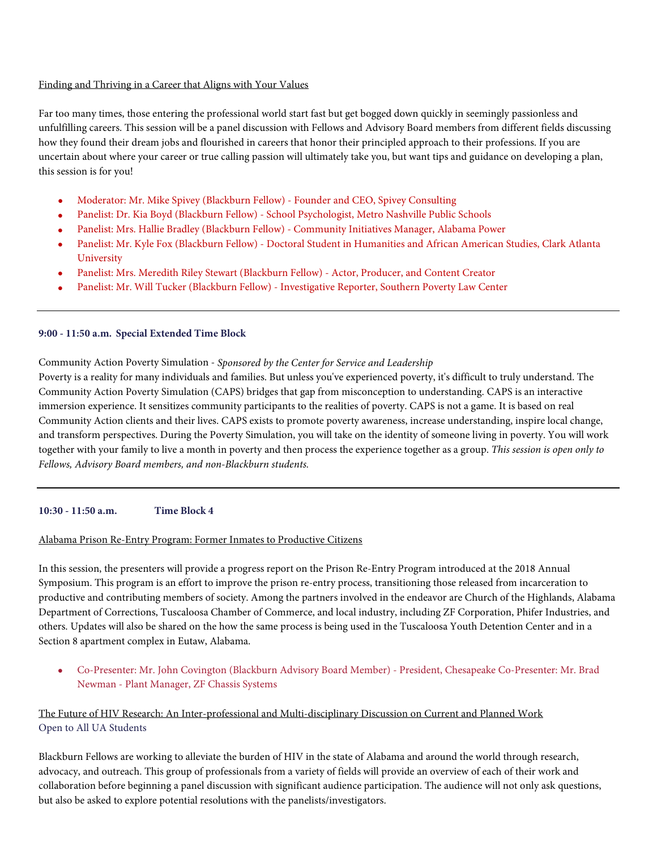#### Finding and Thriving in a Career that Aligns with Your Values

Far too many times, those entering the professional world start fast but get bogged down quickly in seemingly passionless and unfulfilling careers. This session will be a panel discussion with Fellows and Advisory Board members from different fields discussing how they found their dream jobs and flourished in careers that honor their principled approach to their professions. If you are uncertain about where your career or true calling passion will ultimately take you, but want tips and guidance on developing a plan, this session is for you!

- Moderator: Mr. Mike Spivey (Blackburn Fellow) Founder and CEO, Spivey Consulting
- Panelist: Dr. Kia Boyd (Blackburn Fellow) School Psychologist, Metro Nashville Public Schools
- Panelist: Mrs. Hallie Bradley (Blackburn Fellow) Community Initiatives Manager, Alabama Power
- Panelist: Mr. Kyle Fox (Blackburn Fellow) Doctoral Student in Humanities and African American Studies, Clark Atlanta University
- Panelist: Mrs. Meredith Riley Stewart (Blackburn Fellow) Actor, Producer, and Content Creator
- Panelist: Mr. Will Tucker (Blackburn Fellow) Investigative Reporter, Southern Poverty Law Center

#### **9:00 - 11:50 a.m. Special Extended Time Block**

#### Community Action Poverty Simulation - *Sponsored by the Center for Service and Leadership*

Poverty is a reality for many individuals and families. But unless you've experienced poverty, it's difficult to truly understand. The Community Action Poverty Simulation (CAPS) bridges that gap from misconception to understanding. CAPS is an interactive immersion experience. It sensitizes community participants to the realities of poverty. CAPS is not a game. It is based on real Community Action clients and their lives. CAPS exists to promote poverty awareness, increase understanding, inspire local change, and transform perspectives. During the Poverty Simulation, you will take on the identity of someone living in poverty. You will work together with your family to live a month in poverty and then process the experience together as a group. *This session is open only to Fellows, Advisory Board members, and non-Blackburn students.*

#### **10:30 - 11:50 a.m. Time Block 4**

#### Alabama Prison Re-Entry Program: Former Inmates to Productive Citizens

In this session, the presenters will provide a progress report on the Prison Re-Entry Program introduced at the 2018 Annual Symposium. This program is an effort to improve the prison re-entry process, transitioning those released from incarceration to productive and contributing members of society. Among the partners involved in the endeavor are Church of the Highlands, Alabama Department of Corrections, Tuscaloosa Chamber of Commerce, and local industry, including ZF Corporation, Phifer Industries, and others. Updates will also be shared on the how the same process is being used in the Tuscaloosa Youth Detention Center and in a Section 8 apartment complex in Eutaw, Alabama.

• Co-Presenter: Mr. John Covington (Blackburn Advisory Board Member) - President, Chesapeake Co-Presenter: Mr. Brad Newman - Plant Manager, ZF Chassis Systems

# The Future of HIV Research: An Inter-professional and Multi-disciplinary Discussion on Current and Planned Work Open to All UA Students

Blackburn Fellows are working to alleviate the burden of HIV in the state of Alabama and around the world through research, advocacy, and outreach. This group of professionals from a variety of fields will provide an overview of each of their work and collaboration before beginning a panel discussion with significant audience participation. The audience will not only ask questions, but also be asked to explore potential resolutions with the panelists/investigators.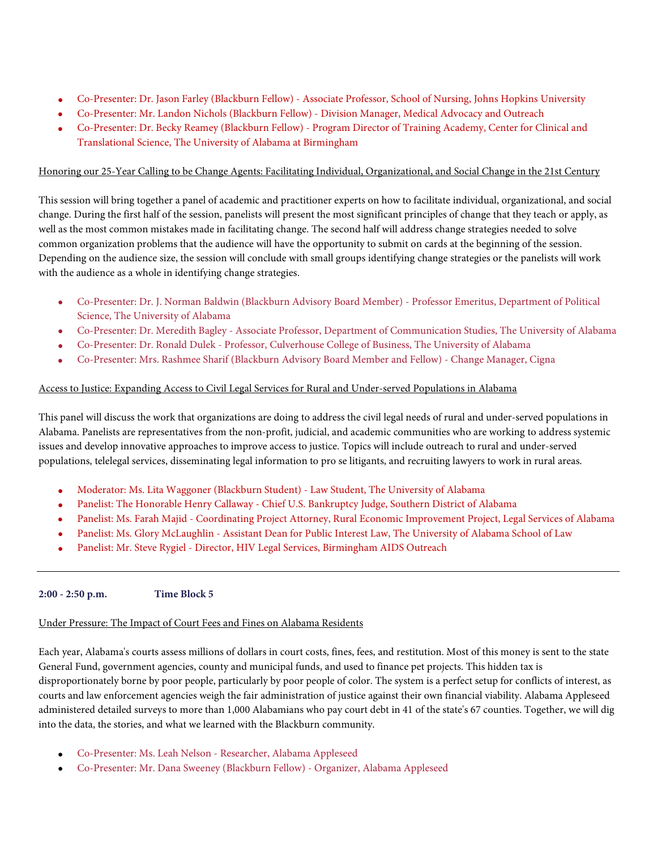- Co-Presenter: Dr. Jason Farley (Blackburn Fellow) Associate Professor, School of Nursing, Johns Hopkins University
- Co-Presenter: Mr. Landon Nichols (Blackburn Fellow) Division Manager, Medical Advocacy and Outreach
- Co-Presenter: Dr. Becky Reamey (Blackburn Fellow) Program Director of Training Academy, Center for Clinical and Translational Science, The University of Alabama at Birmingham

# Honoring our 25-Year Calling to be Change Agents: Facilitating Individual, Organizational, and Social Change in the 21st Century

This session will bring together a panel of academic and practitioner experts on how to facilitate individual, organizational, and social change. During the first half of the session, panelists will present the most significant principles of change that they teach or apply, as well as the most common mistakes made in facilitating change. The second half will address change strategies needed to solve common organization problems that the audience will have the opportunity to submit on cards at the beginning of the session. Depending on the audience size, the session will conclude with small groups identifying change strategies or the panelists will work with the audience as a whole in identifying change strategies.

- Co-Presenter: Dr. J. Norman Baldwin (Blackburn Advisory Board Member) Professor Emeritus, Department of Political Science, The University of Alabama
- Co-Presenter: Dr. Meredith Bagley Associate Professor, Department of Communication Studies, The University of Alabama
- Co-Presenter: Dr. Ronald Dulek Professor, Culverhouse College of Business, The University of Alabama
- Co-Presenter: Mrs. Rashmee Sharif (Blackburn Advisory Board Member and Fellow) Change Manager, Cigna

# Access to Justice: Expanding Access to Civil Legal Services for Rural and Under-served Populations in Alabama

This panel will discuss the work that organizations are doing to address the civil legal needs of rural and under-served populations in Alabama. Panelists are representatives from the non-profit, judicial, and academic communities who are working to address systemic issues and develop innovative approaches to improve access to justice. Topics will include outreach to rural and under-served populations, telelegal services, disseminating legal information to pro se litigants, and recruiting lawyers to work in rural areas.

- Moderator: Ms. Lita Waggoner (Blackburn Student) Law Student, The University of Alabama
- Panelist: The Honorable Henry Callaway Chief U.S. Bankruptcy Judge, Southern District of Alabama
- Panelist: Ms. Farah Majid Coordinating Project Attorney, Rural Economic Improvement Project, Legal Services of Alabama
- Panelist: Ms. Glory McLaughlin Assistant Dean for Public Interest Law, The University of Alabama School of Law
- Panelist: Mr. Steve Rygiel Director, HIV Legal Services, Birmingham AIDS Outreach

# **2:00 - 2:50 p.m. Time Block 5**

# Under Pressure: The Impact of Court Fees and Fines on Alabama Residents

Each year, Alabama's courts assess millions of dollars in court costs, fines, fees, and restitution. Most of this money is sent to the state General Fund, government agencies, county and municipal funds, and used to finance pet projects. This hidden tax is disproportionately borne by poor people, particularly by poor people of color. The system is a perfect setup for conflicts of interest, as courts and law enforcement agencies weigh the fair administration of justice against their own financial viability. Alabama Appleseed administered detailed surveys to more than 1,000 Alabamians who pay court debt in 41 of the state's 67 counties. Together, we will dig into the data, the stories, and what we learned with the Blackburn community.

- Co-Presenter: Ms. Leah Nelson Researcher, Alabama Appleseed
- Co-Presenter: Mr. Dana Sweeney (Blackburn Fellow) Organizer, Alabama Appleseed